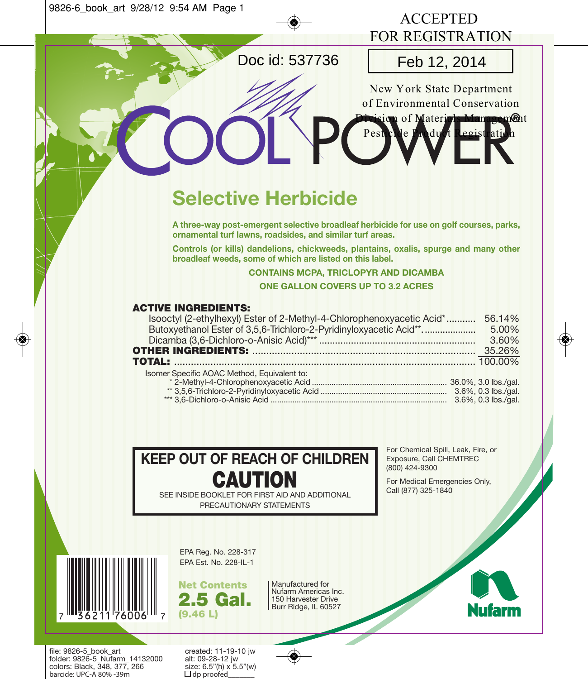

file: 9826-5\_book\_art created: 11-19-10 jw<br>folder: 9826-5 Nufarm 14132000 alt: 09-28-12 jw folder: 9826-5\_Nufarm\_14132000 alt: 09-28-12 jw colors: Black, 348, 377, 266 size: 6.5"(h) x<br>barcide: UPC-A 80% -39m  $\Box$ do proofed

barcide: UPC-A 80% -39m

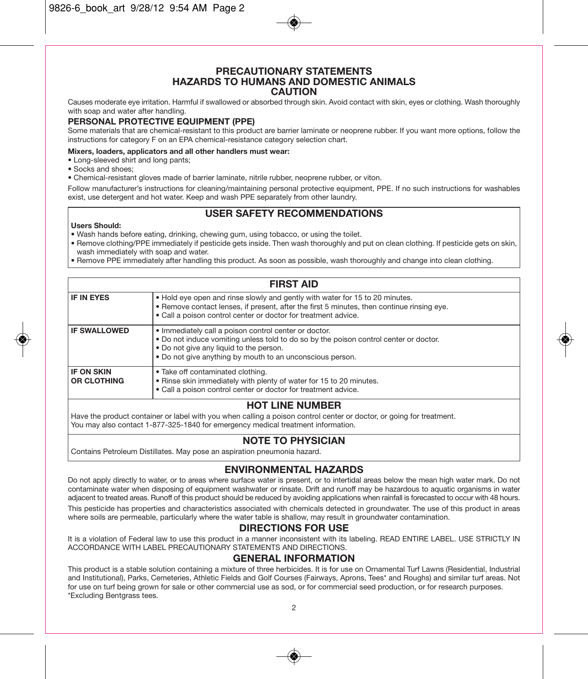#### **PRECAUTIONARY STATEMENTS HAZARDS TO HUMANS AND DOMESTIC ANIMALS CAUTION**

Causes moderate eye irritation. Harmful if swallowed or absorbed through skin. Avoid contact with skin, eyes or clothing. Wash thoroughly with soap and water after handling.

#### **PERSONAL PROTECTIVE EQUIPMENT (PPE)**

Some materials that are chemical-resistant to this product are barrier laminate or neoprene rubber. If you want more options, follow the instructions for category F on an EPA chemical-resistance category selection chart.

#### **Mixers, loaders, applicators and all other handlers must wear:**

- Long-sleeved shirt and long pants;
- Socks and shoes;
- Chemical-resistant gloves made of barrier laminate, nitrile rubber, neoprene rubber, or viton.

Follow manufacturer's instructions for cleaning/maintaining personal protective equipment, PPE. If no such instructions for washables exist, use detergent and hot water. Keep and wash PPE separately from other laundry.

## **USER SAFETY RECOMMENDATIONS**

#### **Users Should:**

• Wash hands before eating, drinking, chewing gum, using tobacco, or using the toilet.

• Remove clothing/PPE immediately if pesticide gets inside. Then wash thoroughly and put on clean clothing. If pesticide gets on skin, wash immediately with soap and water.

• Remove PPE immediately after handling this product. As soon as possible, wash thoroughly and change into clean clothing.

| <b>FIRST AID</b>                        |                                                                                                                                                                                                                                                        |  |
|-----------------------------------------|--------------------------------------------------------------------------------------------------------------------------------------------------------------------------------------------------------------------------------------------------------|--|
| <b>IF IN EYES</b>                       | . Hold eye open and rinse slowly and gently with water for 15 to 20 minutes.<br>. Remove contact lenses, if present, after the first 5 minutes, then continue rinsing eye.<br>• Call a poison control center or doctor for treatment advice.           |  |
| <b>IF SWALLOWED</b>                     | • Immediately call a poison control center or doctor.<br>. Do not induce vomiting unless told to do so by the poison control center or doctor.<br>. Do not give any liquid to the person.<br>. Do not give anything by mouth to an unconscious person. |  |
| <b>IF ON SKIN</b><br><b>OR CLOTHING</b> | • Take off contaminated clothing.<br>. Rinse skin immediately with plenty of water for 15 to 20 minutes.<br>• Call a poison control center or doctor for treatment advice.                                                                             |  |
| HOT I INE NI IMRED                      |                                                                                                                                                                                                                                                        |  |

#### **HOT LINE NUMBER**

Have the product container or label with you when calling a poison control center or doctor, or going for treatment. You may also contact 1-877-325-1840 for emergency medical treatment information.

#### **NOTE TO PHYSICIAN**

Contains Petroleum Distillates. May pose an aspiration pneumonia hazard.

#### **ENVIRONMENTAL HAZARDS**

Do not apply directly to water, or to areas where surface water is present, or to intertidal areas below the mean high water mark. Do not contaminate water when disposing of equipment washwater or rinsate. Drift and runoff may be hazardous to aquatic organisms in water adjacent to treated areas. Runoff of this product should be reduced by avoiding applications when rainfall is forecasted to occur with 48 hours. This pesticide has properties and characteristics associated with chemicals detected in groundwater. The use of this product in areas where soils are permeable, particularly where the water table is shallow, may result in groundwater contamination.

#### **DIRECTIONS FOR USE**

It is a violation of Federal law to use this product in a manner inconsistent with its labeling. READ ENTIRE LABEL, USE STRICTLY IN ACCORDANCE WITH LABEL PRECAUTIONARY STATEMENTS AND DIRECTIONS.

#### **GENERAL INFORMATION**

This product is a stable solution containing a mixture of three herbicides. It is for use on Ornamental Turf Lawns (Residential, Industrial and Institutional), Parks, Cemeteries, Athletic Fields and Golf Courses (Fairways, Aprons, Tees\* and Roughs) and similar turf areas. Not for use on turf being grown for sale or other commercial use as sod, or for commercial seed production, or for research purposes. \*Excluding Bentgrass tees.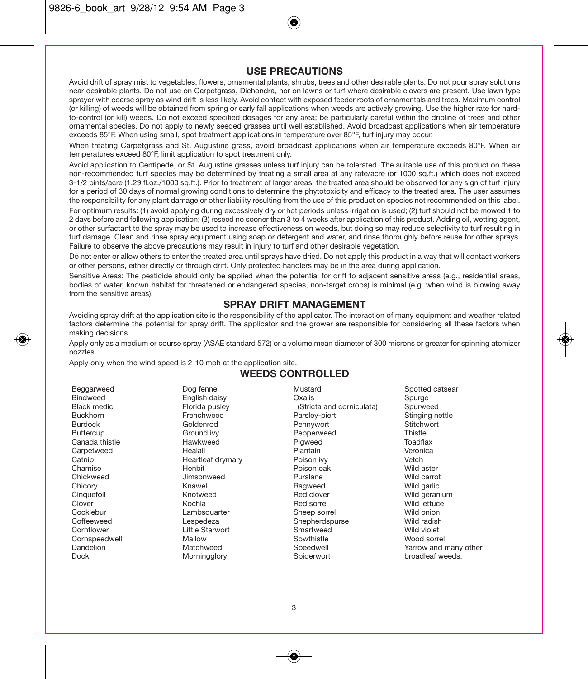## **USE PRECAUTIONS**

Avoid drift of spray mist to vegetables, flowers, ornamental plants, shrubs, trees and other desirable plants. Do not pour spray solutions near desirable plants. Do not use on Carpetgrass, Dichondra, nor on lawns or turf where desirable clovers are present. Use lawn type sprayer with coarse spray as wind drift is less likely. Avoid contact with exposed feeder roots of ornamentals and trees. Maximum control (or killing) of weeds will be obtained from spring or early fall applications when weeds are actively growing. Use the higher rate for hardto-control (or kill) weeds. Do not exceed specified dosages for any area; be particularly careful within the dripline of trees and other ornamental species. Do not apply to newly seeded grasses until well established. Avoid broadcast applications when air temperature exceeds 85°F. When using small, spot treatment applications in temperature over 85°F, turf injury may occur.

When treating Carpetgrass and St. Augustine grass, avoid broadcast applications when air temperature exceeds 80°F. When air temperatures exceed 80°F, limit application to spot treatment only.

Avoid application to Centipede, or St. Augustine grasses unless turf injury can be tolerated. The suitable use of this product on these non-recommended turf species may be determined by treating a small area at any rate/acre (or 1000 sq.ft.) which does not exceed 3-1/2 pints/acre (1.29 fl.oz./1000 sq.ft.). Prior to treatment of larger areas, the treated area should be observed for any sign of turf injury for a period of 30 days of normal growing conditions to determine the phytotoxicity and efficacy to the treated area. The user assumes the responsibility for any plant damage or other liability resulting from the use of this product on species not recommended on this label.

For optimum results: (1) avoid applying during excessively dry or hot periods unless irrigation is used; (2) turf should not be mowed 1 to 2 days before and following application; (3) reseed no sooner than 3 to 4 weeks after application of this product. Adding oil, wetting agent, or other surfactant to the spray may be used to increase effectiveness on weeds, but doing so may reduce selectivity to turf resulting in turf damage. Clean and rinse spray equipment using soap or detergent and water, and rinse thoroughly before reuse for other sprays. Failure to observe the above precautions may result in injury to turf and other desirable vegetation.

Do not enter or allow others to enter the treated area until sprays have dried. Do not apply this product in a way that will contact workers or other persons, either directly or through drift. Only protected handlers may be in the area during application.

Sensitive Areas: The pesticide should only be applied when the potential for drift to adjacent sensitive areas (e.g., residential areas, bodies of water, known habitat for threatened or endangered species, non-target crops) is minimal (e.g. when wind is blowing away from the sensitive areas).

#### **SPRAY DRIFT MANAGEMENT**

Avoiding spray drift at the application site is the responsibility of the applicator. The interaction of many equipment and weather related factors determine the potential for spray drift. The applicator and the grower are responsible for considering all these factors when making decisions.

Apply only as a medium or course spray (ASAE standard 572) or a volume mean diameter of 300 microns or greater for spinning atomizer nozzles.

Apply only when the wind speed is 2-10 mph at the application site.

## **WEEDS CONTROLLED**

| Beggarweed         | Dog fennel        | Mustard                   | Spotted catsear       |
|--------------------|-------------------|---------------------------|-----------------------|
| <b>Bindweed</b>    | English daisy     | Oxalis                    | Spurge                |
| <b>Black medic</b> | Florida pusley    | (Stricta and corniculata) | Spurweed              |
| <b>Buckhorn</b>    | Frenchweed        | Parsley-piert             | Stinging nettle       |
| <b>Burdock</b>     | Goldenrod         | Pennywort                 | Stitchwort            |
| <b>Buttercup</b>   | Ground ivy        | Pepperweed                | Thistle               |
| Canada thistle     | Hawkweed          | Pigweed                   | Toadflax              |
| Carpetweed         | Healall           | Plantain                  | Veronica              |
| Catnip             | Heartleaf drymary | Poison ivy                | Vetch                 |
| Chamise            | Henbit            | Poison oak                | Wild aster            |
| Chickweed          | Jimsonweed        | Purslane                  | Wild carrot           |
| Chicory            | Knawel            | Ragweed                   | Wild garlic           |
| Cinquefoil         | Knotweed          | Red clover                | Wild geranium         |
| Clover             | Kochia            | Red sorrel                | Wild lettuce          |
| Cocklebur          | Lambsquarter      | Sheep sorrel              | Wild onion            |
| Coffeeweed         | Lespedeza         | Shepherdspurse            | Wild radish           |
| Cornflower         | Little Starwort   | Smartweed                 | Wild violet           |
| Cornspeedwell      | Mallow            | Sowthistle                | Wood sorrel           |
| Dandelion          | Matchweed         | Speedwell                 | Yarrow and many other |
| <b>Dock</b>        | Morningglory      | Spiderwort                | broadleaf weeds.      |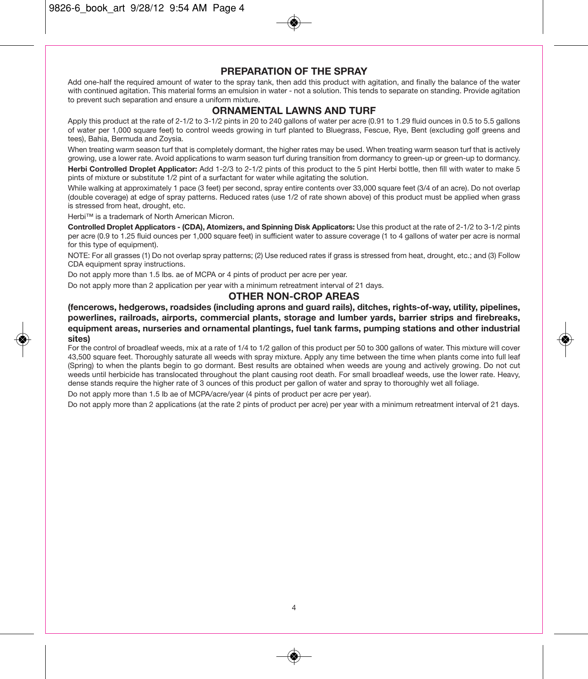9826-6\_book\_art 9/28/12 9:54 AM Page 4

#### **PREPARATION OF THE SPRAY**

Add one-half the required amount of water to the spray tank, then add this product with agitation, and finally the balance of the water with continued agitation. This material forms an emulsion in water - not a solution. This tends to separate on standing. Provide agitation to prevent such separation and ensure a uniform mixture.

#### **ORNAMENTAL LAWNS AND TURF**

Apply this product at the rate of 2-1/2 to 3-1/2 pints in 20 to 240 gallons of water per acre (0.91 to 1.29 fluid ounces in 0.5 to 5.5 gallons of water per 1,000 square feet) to control weeds growing in turf planted to Bluegrass, Fescue, Rye, Bent (excluding golf greens and tees), Bahia, Bermuda and Zoysia.

When treating warm season turf that is completely dormant, the higher rates may be used. When treating warm season turf that is actively growing, use a lower rate. Avoid applications to warm season turf during transition from dormancy to green-up or green-up to dormancy. **Herbi Controlled Droplet Applicator:** Add 1-2/3 to 2-1/2 pints of this product to the 5 pint Herbi bottle, then fill with water to make 5 pints of mixture or substitute 1/2 pint of a surfactant for water while agitating the solution.

While walking at approximately 1 pace (3 feet) per second, spray entire contents over 33,000 square feet (3/4 of an acre). Do not overlap (double coverage) at edge of spray patterns. Reduced rates (use 1/2 of rate shown above) of this product must be applied when grass is stressed from heat, drought, etc.

Herbi™ is a trademark of North American Micron.

**Controlled Droplet Applicators - (CDA), Atomizers, and Spinning Disk Applicators:** Use this product at the rate of 2-1/2 to 3-1/2 pints per acre (0.9 to 1.25 fluid ounces per 1,000 square feet) in sufficient water to assure coverage (1 to 4 gallons of water per acre is normal for this type of equipment).

NOTE: For all grasses (1) Do not overlap spray patterns; (2) Use reduced rates if grass is stressed from heat, drought, etc.; and (3) Follow CDA equipment spray instructions.

Do not apply more than 1.5 lbs. ae of MCPA or 4 pints of product per acre per year.

Do not apply more than 2 application per year with a minimum retreatment interval of 21 days.

#### **OTHER NON-CROP AREAS**

**(fencerows, hedgerows, roadsides (including aprons and guard rails), ditches, rights-of-way, utility, pipelines, powerlines, railroads, airports, commercial plants, storage and lumber yards, barrier strips and firebreaks, equipment areas, nurseries and ornamental plantings, fuel tank farms, pumping stations and other industrial sites)**

#### For the control of broadleaf weeds, mix at a rate of 1/4 to 1/2 gallon of this product per 50 to 300 gallons of water. This mixture will cover 43,500 square feet. Thoroughly saturate all weeds with spray mixture. Apply any time between the time when plants come into full leaf (Spring) to when the plants begin to go dormant. Best results are obtained when weeds are young and actively growing. Do not cut weeds until herbicide has translocated throughout the plant causing root death. For small broadleaf weeds, use the lower rate. Heavy, dense stands require the higher rate of 3 ounces of this product per gallon of water and spray to thoroughly wet all foliage.

Do not apply more than 1.5 lb ae of MCPA/acre/year (4 pints of product per acre per year).

Do not apply more than 2 applications (at the rate 2 pints of product per acre) per year with a minimum retreatment interval of 21 days.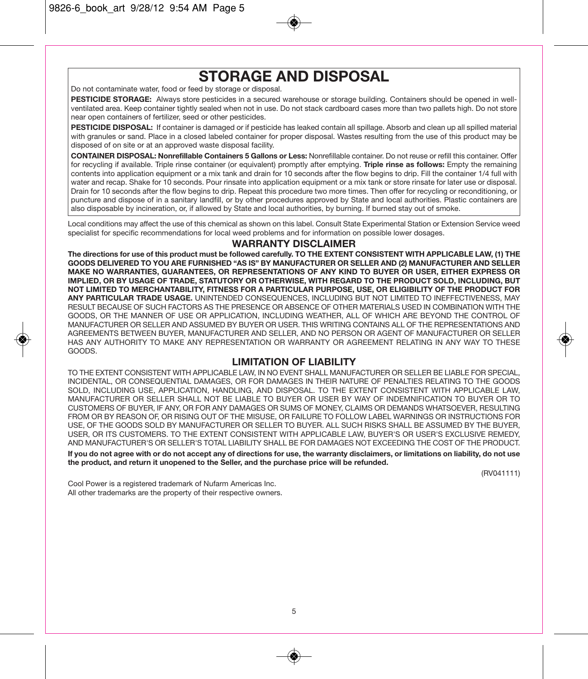# **STORAGE AND DISPOSAL**

Do not contaminate water, food or feed by storage or disposal.

**PESTICIDE STORAGE:** Always store pesticides in a secured warehouse or storage building. Containers should be opened in wellventilated area. Keep container tightly sealed when not in use. Do not stack cardboard cases more than two pallets high. Do not store near open containers of fertilizer, seed or other pesticides.

PESTICIDE DISPOSAL: If container is damaged or if pesticide has leaked contain all spillage. Absorb and clean up all spilled material with granules or sand. Place in a closed labeled container for proper disposal. Wastes resulting from the use of this product may be disposed of on site or at an approved waste disposal facility.

**CONTAINER DISPOSAL: Nonrefillable Containers 5 Gallons or Less:** Nonrefillable container. Do not reuse or refill this container. Offer for recycling if available. Triple rinse container (or equivalent) promptly after emptying. **Triple rinse as follows:** Empty the remaining contents into application equipment or a mix tank and drain for 10 seconds after the flow begins to drip. Fill the container 1/4 full with water and recap. Shake for 10 seconds. Pour rinsate into application equipment or a mix tank or store rinsate for later use or disposal. Drain for 10 seconds after the flow begins to drip. Repeat this procedure two more times. Then offer for recycling or reconditioning, or puncture and dispose of in a sanitary landfill, or by other procedures approved by State and local authorities. Plastic containers are also disposable by incineration, or, if allowed by State and local authorities, by burning. If burned stay out of smoke.

Local conditions may affect the use of this chemical as shown on this label. Consult State Experimental Station or Extension Service weed specialist for specific recommendations for local weed problems and for information on possible lower dosages.

## **WARRANTY DISCLAIMER**

**The directions for use of this product must be followed carefully. TO THE EXTENT CONSISTENT WITH APPLICABLE LAW, (1) THE GOODS DELIVERED TO YOU ARE FURNISHED "AS IS" BY MANUFACTURER OR SELLER AND (2) MANUFACTURER AND SELLER MAKE NO WARRANTIES, GUARANTEES, OR REPRESENTATIONS OF ANY KIND TO BUYER OR USER, EITHER EXPRESS OR IMPLIED, OR BY USAGE OF TRADE, STATUTORY OR OTHERWISE, WITH REGARD TO THE PRODUCT SOLD, INCLUDING, BUT NOT LIMITED TO MERCHANTABILITY, FITNESS FOR A PARTICULAR PURPOSE, USE, OR ELIGIBILITY OF THE PRODUCT FOR ANY PARTICULAR TRADE USAGE.** UNINTENDED CONSEQUENCES, INCLUDING BUT NOT LIMITED TO INEFFECTIVENESS, MAY RESULT BECAUSE OF SUCH FACTORS AS THE PRESENCE OR ABSENCE OF OTHER MATERIALS USED IN COMBINATION WITH THE GOODS, OR THE MANNER OF USE OR APPLICATION, INCLUDING WEATHER, ALL OF WHICH ARE BEYOND THE CONTROL OF MANUFACTURER OR SELLER AND ASSUMED BY BUYER OR USER. THIS WRITING CONTAINS ALL OF THE REPRESENTATIONS AND AGREEMENTS BETWEEN BUYER, MANUFACTURER AND SELLER, AND NO PERSON OR AGENT OF MANUFACTURER OR SELLER HAS ANY AUTHORITY TO MAKE ANY REPRESENTATION OR WARRANTY OR AGREEMENT RELATING IN ANY WAY TO THESE GOODS.

#### **LIMITATION OF LIABILITY**

TO THE EXTENT CONSISTENT WITH APPLICABLE LAW, IN NO EVENT SHALL MANUFACTURER OR SELLER BE LIABLE FOR SPECIAL, INCIDENTAL, OR CONSEQUENTIAL DAMAGES, OR FOR DAMAGES IN THEIR NATURE OF PENALTIES RELATING TO THE GOODS SOLD, INCLUDING USE, APPLICATION, HANDLING, AND DISPOSAL. TO THE EXTENT CONSISTENT WITH APPLICABLE LAW, MANUFACTURER OR SELLER SHALL NOT BE LIABLE TO BUYER OR USER BY WAY OF INDEMNIFICATION TO BUYER OR TO CUSTOMERS OF BUYER, IF ANY, OR FOR ANY DAMAGES OR SUMS OF MONEY, CLAIMS OR DEMANDS WHATSOEVER, RESULTING FROM OR BY REASON OF, OR RISING OUT OF THE MISUSE, OR FAILURE TO FOLLOW LABEL WARNINGS OR INSTRUCTIONS FOR USE, OF THE GOODS SOLD BY MANUFACTURER OR SELLER TO BUYER. ALL SUCH RISKS SHALL BE ASSUMED BY THE BUYER, USER, OR ITS CUSTOMERS. TO THE EXTENT CONSISTENT WITH APPLICABLE LAW, BUYER'S OR USER'S EXCLUSIVE REMEDY, AND MANUFACTURER'S OR SELLER'S TOTAL LIABILITY SHALL BE FOR DAMAGES NOT EXCEEDING THE COST OF THE PRODUCT.

**If you do not agree with or do not accept any of directions for use, the warranty disclaimers, or limitations on liability, do not use the product, and return it unopened to the Seller, and the purchase price will be refunded.** 

(RV041111)

Cool Power is a registered trademark of Nufarm Americas Inc. All other trademarks are the property of their respective owners.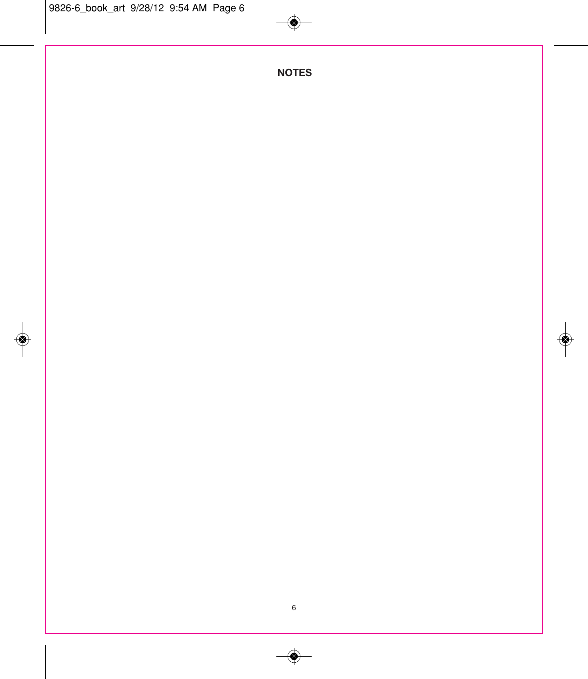$\bigcirc$ 

**NOTES**

◈

 $\bigcirc\hspace{-1.5ex}\bigcirc$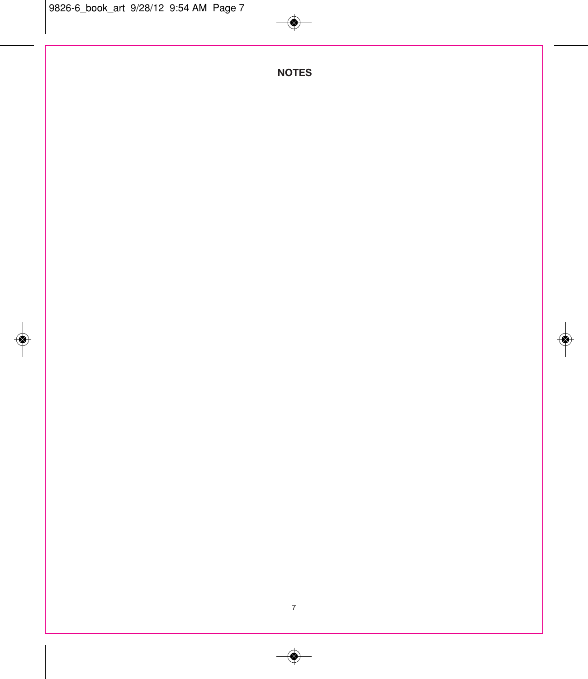$\bigcirc$ 

**NOTES**

◈

◈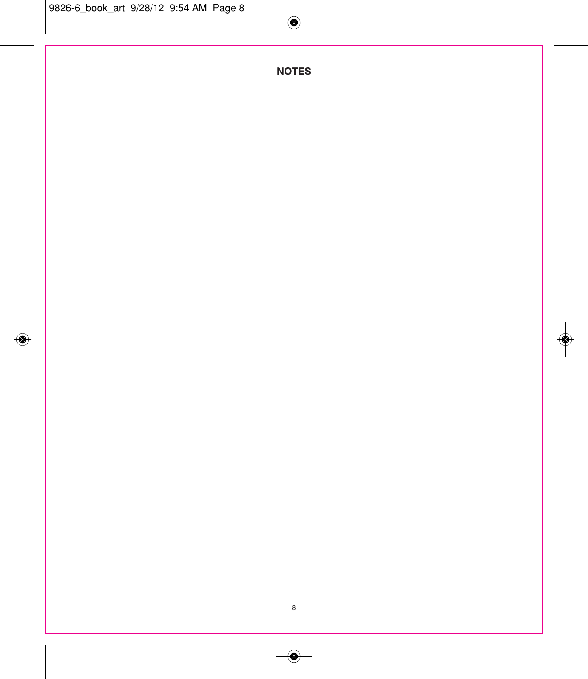$\Rightarrow$ 

**NOTES**

◈

 $\bigcirc\hspace{-1.5ex}\bigcirc$